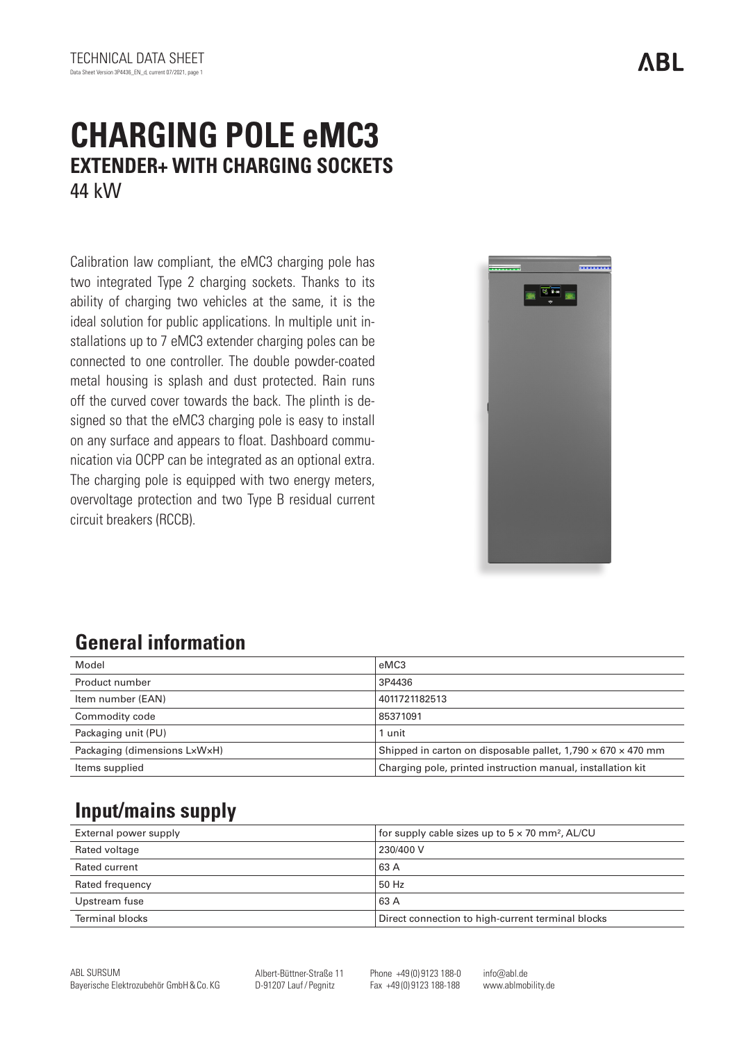# **CHARGING POLE eMC3 EXTENDER+ WITH CHARGING SOCKETS** 44 kW

Calibration law compliant, the eMC3 charging pole has two integrated Type 2 charging sockets. Thanks to its ability of charging two vehicles at the same, it is the ideal solution for public applications. In multiple unit installations up to 7 eMC3 extender charging poles can be connected to one controller. The double powder-coated metal housing is splash and dust protected. Rain runs off the curved cover towards the back. The plinth is designed so that the eMC3 charging pole is easy to install on any surface and appears to float. Dashboard communication via OCPP can be integrated as an optional extra. The charging pole is equipped with two energy meters, overvoltage protection and two Type B residual current circuit breakers (RCCB).



## **General information**

| Model                        | eMC3                                                                     |
|------------------------------|--------------------------------------------------------------------------|
| Product number               | 3P4436                                                                   |
| Item number (EAN)            | 4011721182513                                                            |
| Commodity code               | 85371091                                                                 |
| Packaging unit (PU)          | 1 unit                                                                   |
| Packaging (dimensions LxWxH) | Shipped in carton on disposable pallet, $1,790 \times 670 \times 470$ mm |
| Items supplied               | Charging pole, printed instruction manual, installation kit              |

## **Input/mains supply**

| External power supply | for supply cable sizes up to $5 \times 70$ mm <sup>2</sup> , AL/CU |
|-----------------------|--------------------------------------------------------------------|
| Rated voltage         | 230/400 V                                                          |
| Rated current         | 63 A                                                               |
| Rated frequency       | 50 Hz                                                              |
| Upstream fuse         | 63 A                                                               |
| Terminal blocks       | Direct connection to high-current terminal blocks                  |

Albert-Büttner-Straße 11 D-91207 Lauf/ Pegnitz

Phone +49 (0) 9123 188-0 Fax +49 (0) 9123 188-188

info@abl.de www.ablmobility.de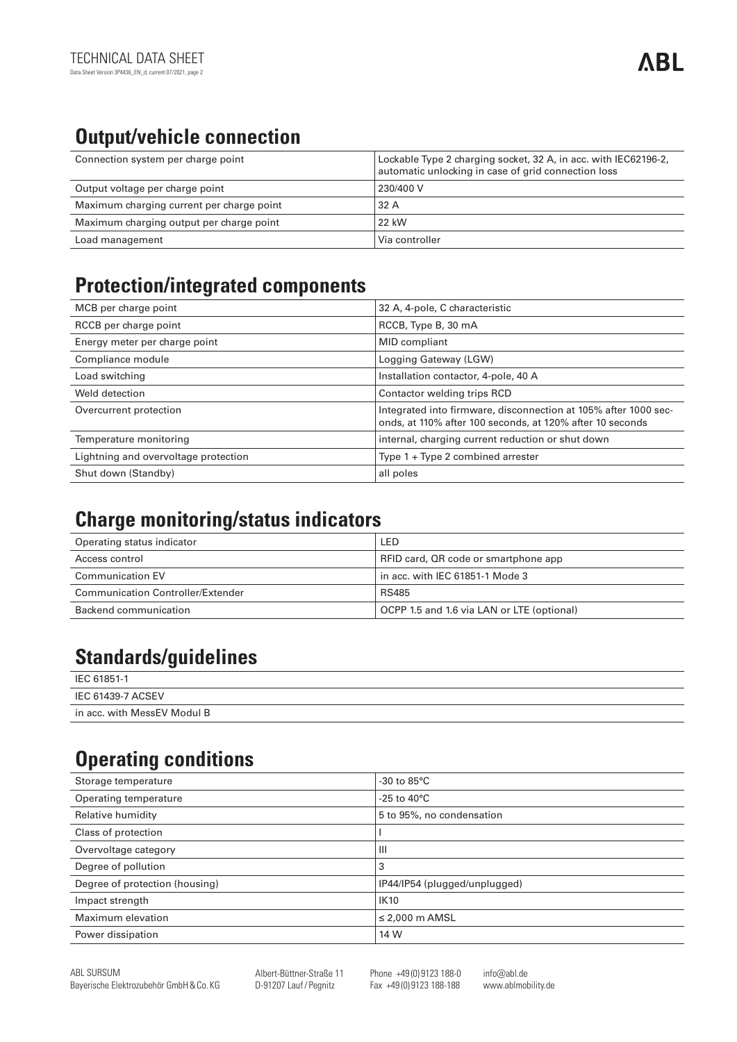# **Output/vehicle connection**

| Connection system per charge point        | Lockable Type 2 charging socket, 32 A, in acc. with IEC62196-2,<br>automatic unlocking in case of grid connection loss |
|-------------------------------------------|------------------------------------------------------------------------------------------------------------------------|
| Output voltage per charge point           | 230/400 V                                                                                                              |
| Maximum charging current per charge point | l 32 A                                                                                                                 |
| Maximum charging output per charge point  | 22 kW                                                                                                                  |
| Load management                           | l Via controller                                                                                                       |

#### **Protection/integrated components**

| MCB per charge point                 | 32 A, 4-pole, C characteristic                                                                                               |
|--------------------------------------|------------------------------------------------------------------------------------------------------------------------------|
| RCCB per charge point                | RCCB, Type B, 30 mA                                                                                                          |
| Energy meter per charge point        | <b>MID</b> compliant                                                                                                         |
| Compliance module                    | Logging Gateway (LGW)                                                                                                        |
| Load switching                       | Installation contactor, 4-pole, 40 A                                                                                         |
| Weld detection                       | Contactor welding trips RCD                                                                                                  |
| Overcurrent protection               | Integrated into firmware, disconnection at 105% after 1000 sec-<br>onds, at 110% after 100 seconds, at 120% after 10 seconds |
| Temperature monitoring               | internal, charging current reduction or shut down                                                                            |
| Lightning and overvoltage protection | Type $1 + Type 2$ combined arrester                                                                                          |
| Shut down (Standby)                  | all poles                                                                                                                    |

#### **Charge monitoring/status indicators**

| Operating status indicator        | LED                                        |
|-----------------------------------|--------------------------------------------|
| Access control                    | RFID card, QR code or smartphone app       |
| <b>Communication EV</b>           | in acc. with IEC 61851-1 Mode 3            |
| Communication Controller/Extender | RS485                                      |
| Backend communication             | OCPP 1.5 and 1.6 via LAN or LTE (optional) |

#### **Standards/guidelines**

| IEC 61851-1                 |
|-----------------------------|
| IEC 61439-7 ACSEV           |
| in acc. with MessEV Modul B |

## **Operating conditions**

| Storage temperature            | $-30$ to $85^{\circ}$ C       |
|--------------------------------|-------------------------------|
| Operating temperature          | -25 to 40 $^{\circ}$ C        |
| Relative humidity              | 5 to 95%, no condensation     |
| Class of protection            |                               |
| Overvoltage category           | Ш                             |
| Degree of pollution            | 3                             |
| Degree of protection (housing) | IP44/IP54 (plugged/unplugged) |
| Impact strength                | <b>IK10</b>                   |
| Maximum elevation              | $\leq$ 2,000 m AMSL           |
| Power dissipation              | 14 W                          |
|                                |                               |

Albert-Büttner-Straße 11 D-91207 Lauf/ Pegnitz

Phone +49 (0) 9123 188-0 Fax +49 (0) 9123 188-188

info@abl.de www.ablmobility.de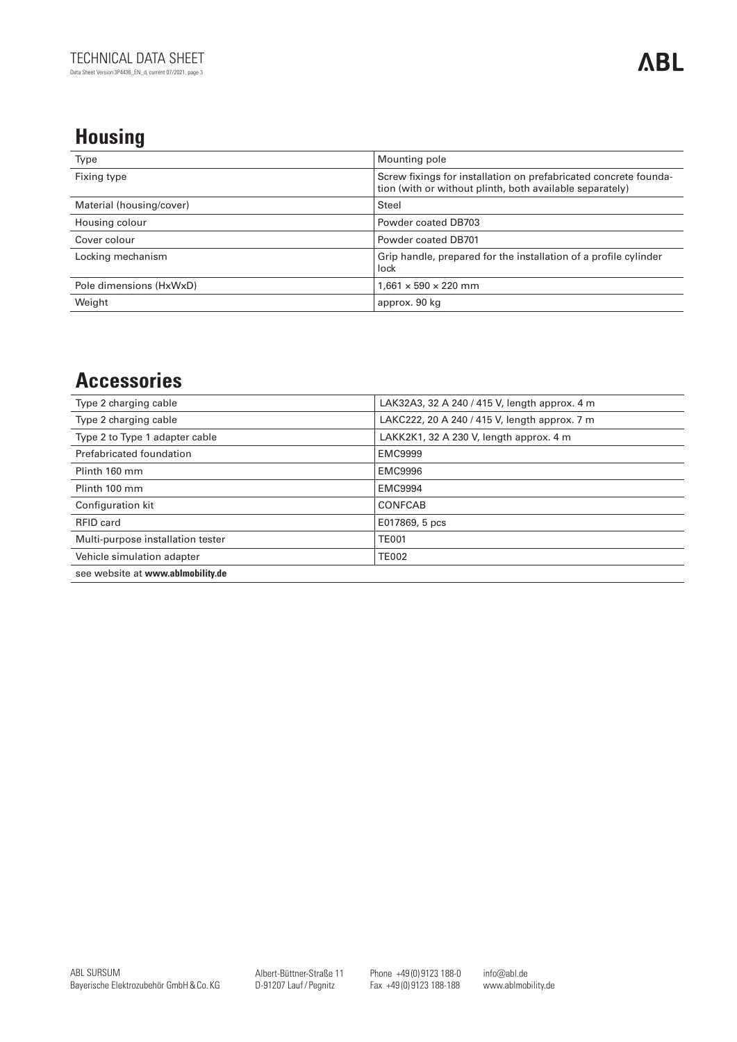### **Housing**

| Type                     | Mounting pole                                                                                                                |
|--------------------------|------------------------------------------------------------------------------------------------------------------------------|
| Fixing type              | Screw fixings for installation on prefabricated concrete founda-<br>tion (with or without plinth, both available separately) |
| Material (housing/cover) | Steel                                                                                                                        |
| Housing colour           | Powder coated DB703                                                                                                          |
| Cover colour             | Powder coated DB701                                                                                                          |
| Locking mechanism        | Grip handle, prepared for the installation of a profile cylinder<br>lock                                                     |
| Pole dimensions (HxWxD)  | $1,661 \times 590 \times 220$ mm                                                                                             |
| Weight                   | approx. 90 kg                                                                                                                |

#### **Accessories**

| Type 2 charging cable             | LAK32A3, 32 A 240 / 415 V, length approx. 4 m |
|-----------------------------------|-----------------------------------------------|
| Type 2 charging cable             | LAKC222, 20 A 240 / 415 V, length approx. 7 m |
| Type 2 to Type 1 adapter cable    | LAKK2K1, 32 A 230 V, length approx. 4 m       |
| Prefabricated foundation          | <b>EMC9999</b>                                |
| Plinth 160 mm                     | <b>EMC9996</b>                                |
| Plinth 100 mm                     | <b>EMC9994</b>                                |
| Configuration kit                 | CONFCAB                                       |
| <b>RFID card</b>                  | E017869, 5 pcs                                |
| Multi-purpose installation tester | <b>TE001</b>                                  |
| Vehicle simulation adapter        | <b>TE002</b>                                  |
| see website at www.ablmobility.de |                                               |